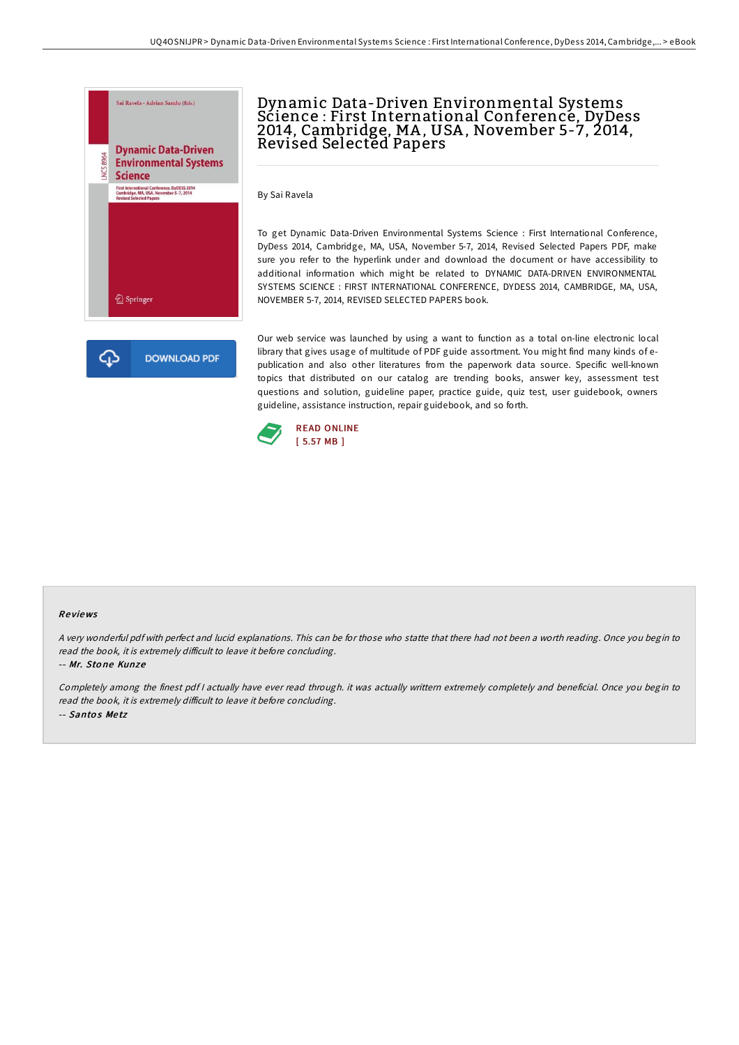

## Dynamic Data-Driven Environmental Systems Science : First International Conference, DyDess 2014, Cambridge, MA , USA , November 5-7, 2014, Revised Selected Papers

By Sai Ravela

To get Dynamic Data-Driven Environmental Systems Science : First International Conference, DyDess 2014, Cambridge, MA, USA, November 5-7, 2014, Revised Selected Papers PDF, make sure you refer to the hyperlink under and download the document or have accessibility to additional information which might be related to DYNAMIC DATA-DRIVEN ENVIRONMENTAL SYSTEMS SCIENCE : FIRST INTERNATIONAL CONFERENCE, DYDESS 2014, CAMBRIDGE, MA, USA, NOVEMBER 5-7, 2014, REVISED SELECTED PAPERS book.

**DOWNLOAD PDF** 

Our web service was launched by using a want to function as a total on-line electronic local library that gives usage of multitude of PDF guide assortment. You might find many kinds of epublication and also other literatures from the paperwork data source. Specific well-known topics that distributed on our catalog are trending books, answer key, assessment test questions and solution, guideline paper, practice guide, quiz test, user guidebook, owners guideline, assistance instruction, repair guidebook, and so forth.



## Re views

<sup>A</sup> very wonderful pdf with perfect and lucid explanations. This can be for those who statte that there had not been <sup>a</sup> worth reading. Once you begin to read the book, it is extremely difficult to leave it before concluding.

-- Mr. Sto ne Kunze

Completely among the finest pdf <sup>I</sup> actually have ever read through. it was actually writtern extremely completely and beneficial. Once you begin to read the book, it is extremely difficult to leave it before concluding. -- Santos Metz